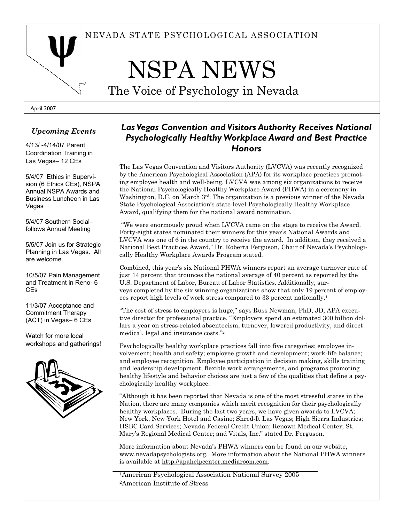## NEVADA STATE PSYCHOLOGICAL ASSOCIATION

## NSPA NEWS

The Voice of Psychology in Nevada

#### April 2007

#### Upcoming Events

4/13/ -4/14/07 Parent Coordination Training in Las Vegas– 12 CEs

5/4/07 Ethics in Supervision (6 Ethics CEs), NSPA Annual NSPA Awards and Business Luncheon in Las Vegas

5/4/07 Southern Social– follows Annual Meeting

5/5/07 Join us for Strategic Planning in Las Vegas. All are welcome.

10/5/07 Pain Management and Treatment in Reno- 6 CEs

11/3/07 Acceptance and Commitment Therapy (ACT) in Vegas– 6 CEs

Watch for more local workshops and gatherings!



## Las Vegas Convention and Visitors Authority Receives National Psychologically Healthy Workplace Award and Best Practice Honors

The Las Vegas Convention and Visitors Authority (LVCVA) was recently recognized by the American Psychological Association (APA) for its workplace practices promoting employee health and well-being. LVCVA was among six organizations to receive the National Psychologically Healthy Workplace Award (PHWA) in a ceremony in Washington, D.C. on March  $3<sup>rd</sup>$ . The organization is a previous winner of the Nevada State Psychological Association's state-level Psychologically Healthy Workplace Award, qualifying them for the national award nomination.

 "We were enormously proud when LVCVA came on the stage to receive the Award. Forty-eight states nominated their winners for this year's National Awards and LVCVA was one of 6 in the country to receive the award. In addition, they received a National Best Practices Award," Dr. Roberta Ferguson, Chair of Nevada's Psychologically Healthy Workplace Awards Program stated.

Combined, this year's six National PHWA winners report an average turnover rate of just 14 percent that trounces the national average of 40 percent as reported by the U.S. Department of Labor, Bureau of Labor Statistics. Additionally, surveys completed by the six winning organizations show that only 19 percent of employees report high levels of work stress compared to 33 percent nationally.<sup>1</sup>

"The cost of stress to employers is huge," says Russ Newman, PhD, JD, APA executive director for professional practice. "Employers spend an estimated 300 billion dollars a year on stress-related absenteeism, turnover, lowered productivity, and direct medical, legal and insurance costs."<sup>2</sup>

Psychologically healthy workplace practices fall into five categories: employee involvement; health and safety; employee growth and development; work-life balance; and employee recognition. Employee participation in decision making, skills training and leadership development, flexible work arrangements, and programs promoting healthy lifestyle and behavior choices are just a few of the qualities that define a psychologically healthy workplace.

"Although it has been reported that Nevada is one of the most stressful states in the Nation, there are many companies which merit recognition for their psychologically healthy workplaces. During the last two years, we have given awards to LVCVA; New York, New York Hotel and Casino; Shred-It Las Vegas; High Sierra Industries; HSBC Card Services; Nevada Federal Credit Union; Renown Medical Center; St. Mary's Regional Medical Center; and Vitals, Inc." stated Dr. Ferguson.

More information about Nevada's PHWA winners can be found on our website, www.nevadapsychologists.org. More information about the National PHWA winners is available at http://apahelpcenter.mediaroom.com.

<sup>1</sup>American Psychological Association National Survey 2005 <sup>2</sup>American Institute of Stress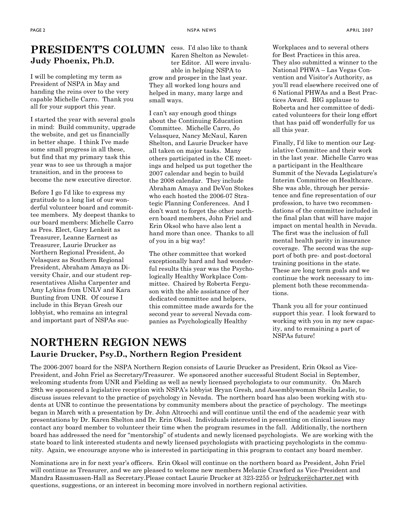## PRESIDENT'S COLUMN Judy Phoenix, Ph.D.

I will be completing my term as President of NSPA in May and handing the reins over to the very capable Michelle Carro. Thank you all for your support this year.

I started the year with several goals in mind: Build community, upgrade the website, and get us financially in better shape. I think I've made some small progress in all these, but find that my primary task this year was to see us through a major transition, and in the process to become the new executive director.

Before I go I'd like to express my gratitude to a long list of our wonderful volunteer board and committee members. My deepest thanks to our board members: Michelle Carro as Pres. Elect, Gary Lenkeit as Treasurer, Leanne Earnest as Treasurer, Laurie Drucker as Northern Regional President, Jo Velasquez as Southern Regional President, Abraham Amaya as Diversity Chair, and our student representatives Alisha Carpenter and Amy Lykins from UNLV and Kara Bunting from UNR. Of course I include in this Bryan Gresh our lobbyist, who remains an integral and important part of NSPAs suc-

cess. I'd also like to thank Karen Shelton as Newsletter Editor. All were invaluable in helping NSPA to grow and prosper in the last year. They all worked long hours and helped in many, many large and small ways.

I can't say enough good things about the Continuing Education Committee. Michelle Carro, Jo Velasquez, Nancy McNaul, Karen Shelton, and Laurie Drucker have all taken on major tasks. Many others participated in the CE meetings and helped us put together the 2007 calendar and begin to build the 2008 calendar. They include Abraham Amaya and DeVon Stokes who each hosted the 2006-07 Strategic Planning Conferences. And I don't want to forget the other northern board members, John Friel and Erin Oksol who have also lent a hand more than once. Thanks to all of you in a big way!

The other committee that worked exceptionally hard and had wonderful results this year was the Psychologically Healthy Workplace Committee. Chaired by Roberta Ferguson with the able assistance of her dedicated committee and helpers, this committee made awards for the second year to several Nevada companies as Psychologically Healthy

Workplaces and to several others for Best Practices in this area. They also submitted a winner to the National PHWA – Las Vegas Convention and Visitor's Authority, as you'll read elsewhere received one of 6 National PHWAs and a Best Practices Award. BIG applause to Roberta and her committee of dedicated volunteers for their long effort that has paid off wonderfully for us all this year.

Finally, I'd like to mention our Legislative Committee and their work in the last year. Michelle Carro was a participant in the Healthcare Summit of the Nevada Legislature's Interim Committee on Healthcare. She was able, through her persistence and fine representation of our profession, to have two recommendations of the committee included in the final plan that will have major impact on mental health in Nevada. The first was the inclusion of full mental health parity in insurance coverage. The second was the support of both pre- and post-doctoral training positions in the state. These are long term goals and we continue the work necessary to implement both these recommendations.

Thank you all for your continued support this year. I look forward to working with you in my new capacity, and to remaining a part of NSPAs future!

## NORTHERN REGION NEWS Laurie Drucker, Psy.D., Northern Region President

The 2006-2007 board for the NSPA Northern Region consists of Laurie Drucker as President, Erin Oksol as Vice-President, and John Friel as Secretary/Treasurer. We sponsored another successful Student Social in September, welcoming students from UNR and Fielding as well as newly licensed psychologists to our community. On March 28th we sponsored a legislative reception with NSPA's lobbyist Bryan Gresh, and Assemblywoman Sheila Leslie, to discuss issues relevant to the practice of psychology in Nevada. The northern board has also been working with students at UNR to continue the presentations by community members about the practice of psychology. The meetings began in March with a presentation by Dr. John Altrocchi and will continue until the end of the academic year with presentations by Dr. Karen Shelton and Dr. Erin Oksol. Individuals interested in presenting on clinical issues may contact any board member to volunteer their time when the program resumes in the fall. Additionally, the northern board has addressed the need for "mentorship" of students and newly licensed psychologists. We are working with the state board to link interested students and newly licensed psychologists with practicing psychologists in the community. Again, we encourage anyone who is interested in participating in this program to contact any board member.

Nominations are in for next year's officers. Erin Oksol will continue on the northern board as President, John Friel will continue as Treasurer, and we are pleased to welcome new members Melanie Crawford as Vice-President and Mandra Rassmussen-Hall as Secretary. Please contact Laurie Drucker at 323-2255 or lvdrucker@charter.net with questions, suggestions, or an interest in becoming more involved in northern regional activities.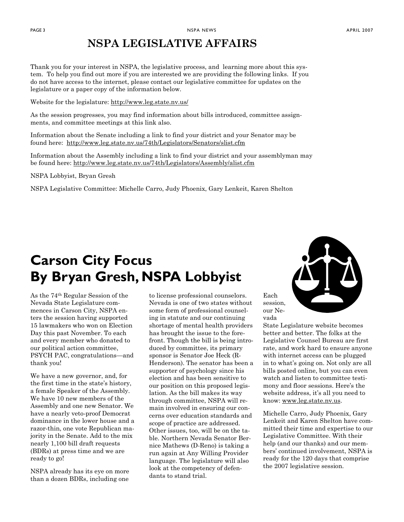## NSPA LEGISLATIVE AFFAIRS

Thank you for your interest in NSPA, the legislative process, and learning more about this system. To help you find out more if you are interested we are providing the following links. If you do not have access to the internet, please contact our legislative committee for updates on the legislature or a paper copy of the information below.

Website for the legislature: http://www.leg.state.nv.us/

As the session progresses, you may find information about bills introduced, committee assignments, and committee meetings at this link also.

Information about the Senate including a link to find your district and your Senator may be found here: http://www.leg.state.nv.us/74th/Legislators/Senators/slist.cfm

Information about the Assembly including a link to find your district and your assemblyman may be found here: http://www.leg.state.nv.us/74th/Legislators/Assembly/alist.cfm

NSPA Lobbyist, Bryan Gresh

NSPA Legislative Committee: Michelle Carro, Judy Phoenix, Gary Lenkeit, Karen Shelton

## Carson City Focus By Bryan Gresh, NSPA Lobbyist

As the 74th Regular Session of the Nevada State Legislature commences in Carson City, NSPA enters the session having supported 15 lawmakers who won on Election Day this past November. To each and every member who donated to our political action committee, PSYCH PAC, congratulations—and thank you!

We have a new governor, and, for the first time in the state's history, a female Speaker of the Assembly. We have 10 new members of the Assembly and one new Senator. We have a nearly veto-proof Democrat dominance in the lower house and a razor-thin, one vote Republican majority in the Senate. Add to the mix nearly 1,100 bill draft requests (BDRs) at press time and we are ready to go!

NSPA already has its eye on more than a dozen BDRs, including one

to license professional counselors. Nevada is one of two states without some form of professional counseling in statute and our continuing shortage of mental health providers has brought the issue to the forefront. Though the bill is being introduced by committee, its primary sponsor is Senator Joe Heck (R-Henderson). The senator has been a supporter of psychology since his election and has been sensitive to our position on this proposed legislation. As the bill makes its way through committee, NSPA will remain involved in ensuring our concerns over education standards and scope of practice are addressed. Other issues, too, will be on the table. Northern Nevada Senator Bernice Mathews (D-Reno) is taking a run again at Any Willing Provider language. The legislature will also look at the competency of defendants to stand trial.



session, our Nevada

Each

State Legislature website becomes better and better. The folks at the Legislative Counsel Bureau are first rate, and work hard to ensure anyone with internet access can be plugged in to what's going on. Not only are all bills posted online, but you can even watch and listen to committee testimony and floor sessions. Here's the website address, it's all you need to know: www.leg.state.nv.us.

Michelle Carro, Judy Phoenix, Gary Lenkeit and Karen Shelton have committed their time and expertise to our Legislative Committee. With their help (and our thanks) and our members' continued involvement, NSPA is ready for the 120 days that comprise the 2007 legislative session.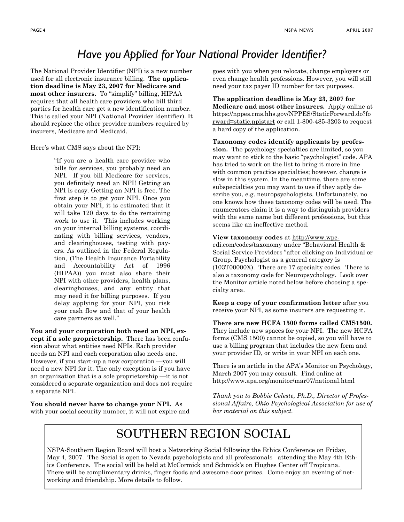## Have you Applied for Your National Provider Identifier?

The National Provider Identifier (NPI) is a new number used for all electronic insurance billing. The application deadline is May 23, 2007 for Medicare and most other insurers. To "simplify" billing, HIPAA requires that all health care providers who bill third parties for health care get a new identification number. This is called your NPI (National Provider Identifier). It should replace the other provider numbers required by insurers, Medicare and Medicaid.

Here's what CMS says about the NPI:

"If you are a health care provider who bills for services, you probably need an NPI. If you bill Medicare for services, you definitely need an NPI! Getting an NPI is easy. Getting an NPI is free. The first step is to get your NPI. Once you obtain your NPI, it is estimated that it will take 120 days to do the remaining work to use it. This includes working on your internal billing systems, coordinating with billing services, vendors, and clearinghouses, testing with payers. As outlined in the Federal Regulation, (The Health Insurance Portability and Accountability Act of 1996 (HIPAA)) you must also share their NPI with other providers, health plans, clearinghouses, and any entity that may need it for billing purposes. If you delay applying for your NPI, you risk your cash flow and that of your health care partners as well."

You and your corporation both need an NPI, except if a sole proprietorship. There has been confusion about what entities need NPIs. Each provider needs an NPI and each corporation also needs one. However, if you start-up a new corporation —you will need a new NPI for it. The only exception is if you have an organization that is a sole proprietorship —it is not considered a separate organization and does not require a separate NPI.

You should never have to change your NPI. As with your social security number, it will not expire and goes with you when you relocate, change employers or even change health professions. However, you will still need your tax payer ID number for tax purposes.

The application deadline is May 23, 2007 for Medicare and most other insurers. Apply online at https://nppes.cms.hhs.gov/NPPES/StaticForward.do?fo rward=static.npistart or call 1-800-485-3203 to request a hard copy of the application.

Taxonomy codes identify applicants by profession. The psychology specialties are limited, so you may want to stick to the basic "psychologist" code. APA has tried to work on the list to bring it more in line with common practice specialties; however, change is slow in this system. In the meantime, there are some subspecialties you may want to use if they aptly describe you, e.g. neuropsychologists. Unfortunately, no one knows how these taxonomy codes will be used. The enumerators claim it is a way to distinguish providers with the same name but different professions, but this seems like an ineffective method.

View taxonomy codes at http://www.wpc-

edi.com/codes/taxonomy under "Behavioral Health & Social Service Providers "after clicking on Individual or Group. Psychologist as a general category is (103T00000X). There are 17 specialty codes. There is also a taxonomy code for Neuropsychology. Look over the Monitor article noted below before choosing a specialty area.

Keep a copy of your confirmation letter after you receive your NPI, as some insurers are requesting it.

There are new HCFA 1500 forms called CMS1500. They include new spaces for your NPI. The new HCFA forms (CMS 1500) cannot be copied, so you will have to use a billing program that includes the new form and your provider ID, or write in your NPI on each one.

There is an article in the APA's Monitor on Psychology, March 2007 you may consult. Find online at http://www.apa.org/monitor/mar07/national.html

Thank you to Bobbie Celeste, Ph.D., Director of Professional Affairs, Ohio Psychological Association for use of her material on this subject.

## SOUTHERN REGION SOCIAL

NSPA-Southern Region Board will host a Networking Social following the Ethics Conference on Friday, May 4, 2007. The Social is open to Nevada psychologists and all professionals attending the May 4th Ethics Conference. The social will be held at McCormick and Schmick's on Hughes Center off Tropicana. There will be complimentary drinks, finger foods and awesome door prizes. Come enjoy an evening of networking and friendship. More details to follow.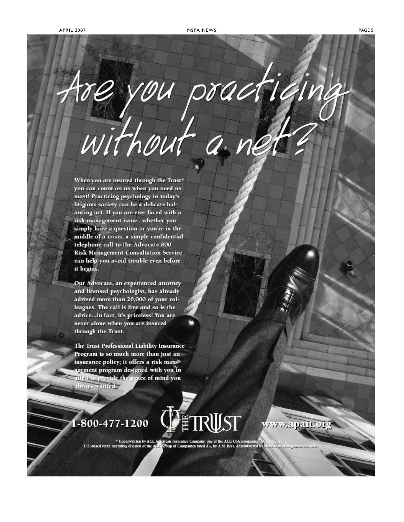# u practic without a

When you are insured through the Trust\* you can count on us when you need us most! Practicing psychology in today's litigious society can be a delicate balancing act. If you are ever faced with a risk management issue...whether you simply have a question or you're in the middle of a crisis, a simple confidential telephone call to the Advocate 800 **Risk Management Consultation Service** can help you avoid trouble even before it begins.

Our Advocate, an experienced attorney and licensed psychologist, has already advised more than 20,000 of your colleagues. The call is free and so is the advice...in fact, it's priceless! You are never alone when you are insured through the Trust.

The Trust Professional Liability Insurance Program is so much more than just an insurance policy; it offers a risk man\* agement program designed with you in mind to provide the peace of mind you always wanted.



<sup>+</sup> Underwritten by ACE American Insurance Company, one of the ACE USA companie<br>U.S.-based retail operating division of the ACE Croup of Companies rated A+, by A.M. Best. Administered

 $\sum_{i=1}^N\frac{1}{i}$ 

**JST** 

www.apail.o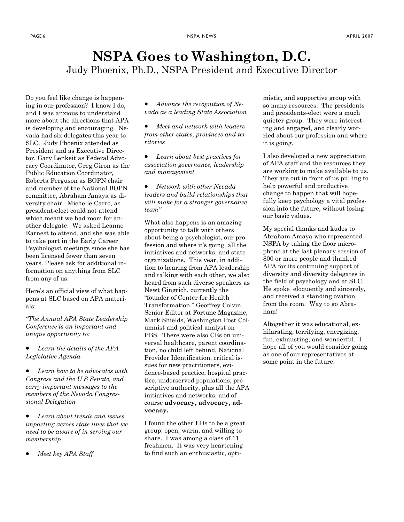## NSPA Goes to Washington, D.C. Judy Phoenix, Ph.D., NSPA President and Executive Director

Do you feel like change is happening in our profession? I know I do, and I was anxious to understand more about the directions that APA is developing and encouraging. Nevada had six delegates this year to SLC. Judy Phoenix attended as President and as Executive Director, Gary Lenkeit as Federal Advocacy Coordinator, Greg Giron as the Public Education Coordinator, Roberta Ferguson as BOPN chair and member of the National BOPN committee, Abraham Amaya as diversity chair. Michelle Carro, as president-elect could not attend which meant we had room for another delegate. We asked Leanne Earnest to attend, and she was able to take part in the Early Career Psychologist meetings since she has been licensed fewer than seven years. Please ask for additional information on anything from SLC from any of us.

Here's an official view of what happens at SLC based on APA materials:

"The Annual APA State Leadership Conference is an important and unique opportunity to:

• Learn the details of the APA Legislative Agenda

Learn how to be advocates with Congress and the U S Senate, and carry important messages to the members of the Nevada Congressional Delegation

• Learn about trends and issues impacting across state lines that we need to be aware of in serving our membership

• Meet key APA Staff

• Advance the recognition of Nevada as a leading State Association

Meet and network with leaders from other states, provinces and territories

• Learn about best practices for association governance, leadership and management

• Network with other Nevada leaders and build relationships that will make for a stronger governance team"

What also happens is an amazing opportunity to talk with others about being a psychologist, our profession and where it's going, all the initiatives and networks, and state organizations. This year, in addition to hearing from APA leadership and talking with each other, we also heard from such diverse speakers as Newt Gingrich, currently the "founder of Center for Health Transformation," Geoffrey Colvin, Senior Editor at Fortune Magazine, Mark Shields, Washington Post Columnist and political analyst on PBS. There were also CEs on universal healthcare, parent coordination, no child left behind, National Provider Identification, critical issues for new practitioners, evidence-based practice, hospital practice, underserved populations, prescriptive authority, plus all the APA initiatives and networks, and of course advocacy, advocacy, advocacy.

I found the other EDs to be a great group: open, warm, and willing to share. I was among a class of 11 freshmen. It was very heartening to find such an enthusiastic, opti-

mistic, and supportive group with so many resources. The presidents and presidents-elect were a much quieter group. They were interesting and engaged, and clearly worried about our profession and where it is going.

I also developed a new appreciation of APA staff and the resources they are working to make available to us. They are out in front of us pulling to help powerful and productive change to happen that will hopefully keep psychology a vital profession into the future, without losing our basic values.

My special thanks and kudos to Abraham Amaya who represented NSPA by taking the floor microphone at the last plenary session of 800 or more people and thanked APA for its continuing support of diversity and diversity delegates in the field of psychology and at SLC. He spoke eloquently and sincerely, and received a standing ovation from the room. Way to go Abraham!

Altogether it was educational, exhilarating, terrifying, energizing, fun, exhausting, and wonderful. I hope all of you would consider going as one of our representatives at some point in the future.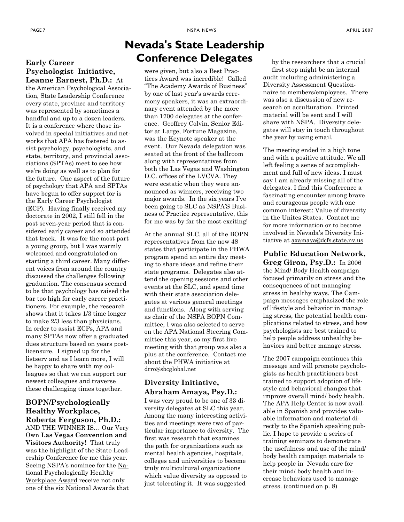#### Early Career Psychologist Initiative, Leanne Earnest, Ph.D.: At

the American Psychological Association, State Leadership Conference every state, province and territory was represented by sometimes a handful and up to a dozen leaders. It is a conference where those involved in special initiatives and networks that APA has fostered to assist psychology, psychologists, and state, territory, and provincial associations (SPTAs) meet to see how we're doing as well as to plan for the future. One aspect of the future of psychology that APA and SPTAs have begun to offer support for is the Early Career Psychologist (ECP). Having finally received my doctorate in 2002, I still fell in the post seven-year period that is considered early career and so attended that track. It was for the most part a young group, but I was warmly welcomed and congratulated on starting a third career. Many different voices from around the country discussed the challenges following graduation. The consensus seemed to be that psychology has raised the bar too high for early career practitioners. For example, the research shows that it takes 1/3 time longer to make 2/3 less than physicians. In order to assist ECPs, APA and many SPTAs now offer a graduated dues structure based on years postlicensure. I signed up for the listserv and as I learn more, I will be happy to share with my colleagues so that we can support our newest colleagues and traverse these challenging times together.

#### BOPN/Psychologically Healthy Workplace, Roberta Ferguson, Ph.D.:

AND THE WINNER IS… Our Very Own Las Vegas Convention and Visitors Authority! That truly was the highlight of the State Leadership Conference for me this year. Seeing NSPA's nominee for the National Psychologically Healthy Workplace Award receive not only one of the six National Awards that

## Nevada's State Leadership Conference Delegates

were given, but also a Best Practices Award was incredible! Called "The Academy Awards of Business" by one of last year's awards ceremony speakers, it was an extraordinary event attended by the more than 1700 delegates at the conference. Geoffrey Colvin, Senior Editor at Large, Fortune Magazine, was the Keynote speaker at the event. Our Nevada delegation was seated at the front of the ballroom along with representatives from both the Las Vegas and Washington D.C. offices of the LVCVA. They were ecstatic when they were announced as winners, receiving two major awards. In the six years I've been going to SLC as NSPA'S Business of Practice representative, this for me was by far the most exciting!

At the annual SLC, all of the BOPN representatives from the now 48 states that participate in the PHWA program spend an entire day meeting to share ideas and refine their state programs. Delegates also attend the opening sessions and other events at the SLC, and spend time with their state association delegates at various general meetings and functions. Along with serving as chair of the NSPA BOPN Committee, I was also selected to serve on the APA National Steering Committee this year, so my first live meeting with that group was also a plus at the conference. Contact me about the PHWA initiative at drro@sbcglobal.net

#### Diversity Initiative, Abraham Amaya, Psy.D.:

I was very proud to be one of 33 diversity delegates at SLC this year. Among the many interesting activities and meetings were two of particular importance to diversity. The first was research that examines the path for organizations such as mental health agencies, hospitals, colleges and universities to become truly multicultural organizations which value diversity as opposed to just tolerating it. It was suggested

by the researchers that a crucial first step might be an internal audit including administering a Diversity Assessment Questionnaire to members/employees. There was also a discussion of new research on acculturation. Printed material will be sent and I will share with NSPA. Diversity delegates will stay in touch throughout the year by using email.

The meeting ended in a high tone and with a positive attitude. We all left feeling a sense of accomplishment and full of new ideas. I must say I am already missing all of the delegates. I find this Conference a fascinating encounter among brave and courageous people with one common interest: Value of diversity in the Unites States. Contact me for more information or to become involved in Nevada's Diversity Initiative at axamaya@dcfs.state.nv.us

Public Education Network, Greg Giron, Psy.D.: In 2006 the Mind/ Body Health campaign focused primarily on stress and the consequences of not managing stress in healthy ways. The Campaign messages emphasized the role of lifestyle and behavior in managing stress, the potential health complications related to stress, and how psychologists are best trained to help people address unhealthy behaviors and better manage stress.

The 2007 campaign continues this message and will promote psychologists as health practitioners best trained to support adoption of lifestyle and behavioral changes that improve overall mind/ body health. The APA Help Center is now available in Spanish and provides valuable information and material directly to the Spanish speaking public. I hope to provide a series of training seminars to demonstrate the usefulness and use of the mind/ body health campaign materials to help people in Nevada care for their mind/ body health and increase behaviors used to manage stress. (continued on p. 8)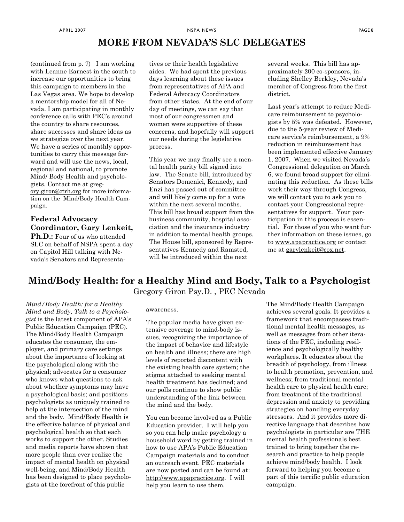## MORE FROM NEVADA'S SLC DELEGATES

(continued from p. 7) I am working with Leanne Earnest in the south to increase our opportunities to bring this campaign to members in the Las Vegas area. We hope to develop a mentorship model for all of Nevada. I am participating in monthly conference calls with PEC's around the country to share resources, share successes and share ideas as we strategize over the next year. We have a series of monthly opportunities to carry this message forward and will use the news, local, regional and national, to promote Mind/ Body Health and psychologists. Contact me at gregory.giron@ctrh.org for more information on the Mind/Body Health Campaign.

## Federal Advocacy Coordinator, Gary Lenkeit,

**Ph.D.:** Four of us who attended SLC on behalf of NSPA spent a day on Capitol Hill talking with Nevada's Senators and Representa-

tives or their health legislative aides. We had spent the previous days learning about these issues from representatives of APA and Federal Advocacy Coordinators from other states. At the end of our day of meetings, we can say that most of our congressmen and women were supportive of these concerns, and hopefully will support our needs during the legislative process.

This year we may finally see a mental health parity bill signed into law. The Senate bill, introduced by Senators Domenici, Kennedy, and Enzi has passed out of committee and will likely come up for a vote within the next several months. This bill has broad support from the business community, hospital association and the insurance industry in addition to mental health groups. The House bill, sponsored by Representatives Kennedy and Ramsted, will be introduced within the next

several weeks. This bill has approximately 200 co-sponsors, including Shelley Berkley, Nevada's member of Congress from the first district.

Last year's attempt to reduce Medicare reimbursement to psychologists by 5% was defeated. However, due to the 5-year review of Medicare service's reimbursement, a 9% reduction in reimbursement has been implemented effective January 1, 2007. When we visited Nevada's Congressional delegation on March 6, we found broad support for eliminating this reduction. As these bills work their way through Congress, we will contact you to ask you to contact your Congressional representatives for support. Your participation in this process is essential. For those of you who want further information on these issues, go to www.apapractice.org or contact me at garylenkeit@cox.net.

## Mind/Body Health: for a Healthy Mind and Body, Talk to a Psychologist

Gregory Giron Psy.D. , PEC Nevada

Mind/Body Health: for a Healthy Mind and Body, Talk to a Psychologist is the latest component of APA's Public Education Campaign (PEC). The Mind/Body Health Campaign educates the consumer, the employer, and primary care settings about the importance of looking at the psychological along with the physical; advocates for a consumer who knows what questions to ask about whether symptoms may have a psychological basis; and positions psychologists as uniquely trained to help at the intersection of the mind and the body. Mind/Body Health is the effective balance of physical and psychological health so that each works to support the other. Studies and media reports have shown that more people than ever realize the impact of mental health on physical well-being, and Mind/Body Health has been designed to place psychologists at the forefront of this public

#### awareness.

The popular media have given extensive coverage to mind-body issues, recognizing the importance of the impact of behavior and lifestyle on health and illness; there are high levels of reported discontent with the existing health care system; the stigma attached to seeking mental health treatment has declined; and our polls continue to show public understanding of the link between the mind and the body.

You can become involved as a Public Education provider. I will help you so you can help make psychology a household word by getting trained in how to use APA's Public Education Campaign materials and to conduct an outreach event. PEC materials are now posted and can be found at: http://www.apapractice.org. I will help you learn to use them.

The Mind/Body Health Campaign achieves several goals. It provides a framework that encompasses traditional mental health messages, as well as messages from other iterations of the PEC, including resilience and psychologically healthy workplaces. It educates about the breadth of psychology, from illness to health promotion, prevention, and wellness; from traditional mental health care to physical health care; from treatment of the traditional depression and anxiety to providing strategies on handling everyday stressors. And it provides more directive language that describes how psychologists in particular are THE mental health professionals best trained to bring together the research and practice to help people achieve mind/body health. I look forward to helping you become a part of this terrific public education campaign.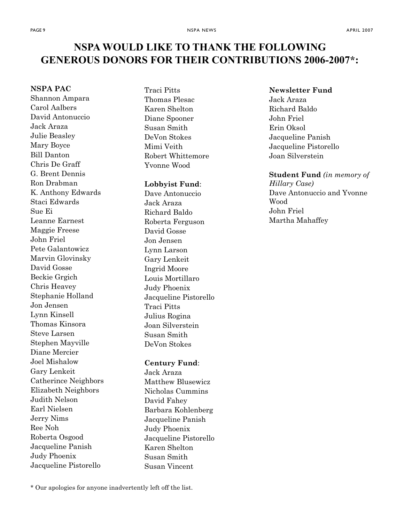## NSPA WOULD LIKE TO THANK THE FOLLOWING GENEROUS DONORS FOR THEIR CONTRIBUTIONS 2006-2007\*:

#### NSPA PAC

Shannon Ampara Carol Aalbers David Antonuccio Jack Araza Julie Beasley Mary Boyce Bill Danton Chris De Graff G. Brent Dennis Ron Drabman K. Anthony Edwards Staci Edwards Sue Ei Leanne Earnest Maggie Freese John Friel Pete Galantowicz Marvin Glovinsky David Gosse Beckie Grgich Chris Heavey Stephanie Holland Jon Jensen Lynn Kinsell Thomas Kinsora Steve Larsen Stephen Mayville Diane Mercier Joel Mishalow Gary Lenkeit Catherince Neighbors Elizabeth Neighbors Judith Nelson Earl Nielsen Jerry Nims Ree Noh Roberta Osgood Jacqueline Panish Judy Phoenix Jacqueline Pistorello

Traci Pitts Thomas Plesac Karen Shelton Diane Spooner Susan Smith DeVon Stokes Mimi Veith Robert Whittemore Yvonne Wood

#### Lobbyist Fund:

Dave Antonuccio Jack Araza Richard Baldo Roberta Ferguson David Gosse Jon Jensen Lynn Larson Gary Lenkeit Ingrid Moore Louis Mortillaro Judy Phoenix Jacqueline Pistorello Traci Pitts Julius Rogina Joan Silverstein Susan Smith DeVon Stokes

#### Century Fund:

Jack Araza Matthew Blusewicz Nicholas Cummins David Fahey Barbara Kohlenberg Jacqueline Panish Judy Phoenix Jacqueline Pistorello Karen Shelton Susan Smith Susan Vincent

#### Newsletter Fund

Jack Araza Richard Baldo John Friel Erin Oksol Jacqueline Panish Jacqueline Pistorello Joan Silverstein

#### Student Fund (in memory of

Hillary Case) Dave Antonuccio and Yvonne Wood John Friel Martha Mahaffey

\* Our apologies for anyone inadvertently left off the list.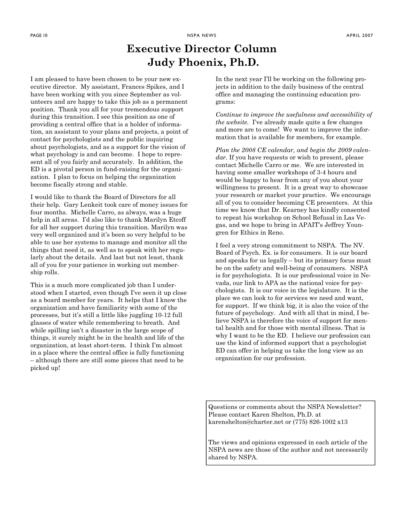## Executive Director Column Judy Phoenix, Ph.D.

I am pleased to have been chosen to be your new executive director. My assistant, Frances Spikes, and I have been working with you since September as volunteers and are happy to take this job as a permanent position. Thank you all for your tremendous support during this transition. I see this position as one of providing a central office that is a holder of information, an assistant to your plans and projects, a point of contact for psychologists and the public inquiring about psychologists, and as a support for the vision of what psychology is and can become. I hope to represent all of you fairly and accurately. In addition, the ED is a pivotal person in fund-raising for the organization. I plan to focus on helping the organization become fiscally strong and stable.

I would like to thank the Board of Directors for all their help. Gary Lenkeit took care of money issues for four months. Michelle Carro, as always, was a huge help in all areas. I'd also like to thank Marilyn Etcoff for all her support during this transition. Marilyn was very well organized and it's been so very helpful to be able to use her systems to manage and monitor all the things that need it, as well as to speak with her regularly about the details. And last but not least, thank all of you for your patience in working out membership rolls.

This is a much more complicated job than I understood when I started, even though I've seen it up close as a board member for years. It helps that I know the organization and have familiarity with some of the processes, but it's still a little like juggling 10-12 full glasses of water while remembering to breath. And while spilling isn't a disaster in the large scope of things, it surely might be in the health and life of the organization, at least short-term. I think I'm almost in a place where the central office is fully functioning – although there are still some pieces that need to be picked up!

In the next year I'll be working on the following projects in addition to the daily business of the central office and managing the continuing education programs:

Continue to improve the usefulness and accessibility of the website. I've already made quite a few changes and more are to come! We want to improve the information that is available for members, for example.

Plan the 2008 CE calendar, and begin the 2009 calendar. If you have requests or wish to present, please contact Michelle Carro or me. We are interested in having some smaller workshops of 3-4 hours and would be happy to hear from any of you about your willingness to present. It is a great way to showcase your research or market your practice. We encourage all of you to consider becoming CE presenters. At this time we know that Dr. Kearney has kindly consented to repeat his workshop on School Refusal in Las Vegas, and we hope to bring in APAIT's Jeffrey Youngren for Ethics in Reno.

I feel a very strong commitment to NSPA. The NV. Board of Psych. Ex. is for consumers. It is our board and speaks for us legally – but its primary focus must be on the safety and well-being of consumers. NSPA is for psychologists. It is our professional voice in Nevada, our link to APA as the national voice for psychologists. It is our voice in the legislature. It is the place we can look to for services we need and want, for support. If we think big, it is also the voice of the future of psychology. And with all that in mind, I believe NSPA is therefore the voice of support for mental health and for those with mental illness. That is why I want to be the ED. I believe our profession can use the kind of informed support that a psychologist ED can offer in helping us take the long view as an organization for our profession.

Questions or comments about the NSPA Newsletter? Please contact Karen Shelton, Ph.D. at karenshelton@charter.net or (775) 826-1002 x13

The views and opinions expressed in each article of the NSPA news are those of the author and not necessarily shared by NSPA.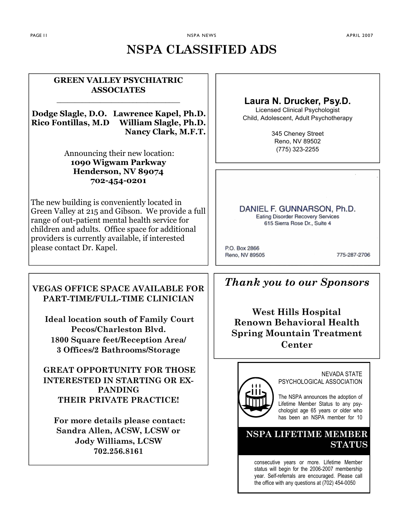## NSPA CLASSIFIED ADS

#### GREEN VALLEY PSYCHIATRIC ASSOCIATES

\_\_\_\_\_\_\_\_\_\_\_\_\_\_\_\_\_\_\_\_\_\_\_\_\_\_\_\_\_\_\_\_\_\_

Dodge Slagle, D.O. Lawrence Kapel, Ph.D. Rico Fontillas, M.D William Slagle, Ph.D. Nancy Clark, M.F.T.

> Announcing their new location: 1090 Wigwam Parkway Henderson, NV 89074 702-454-0201

The new building is conveniently located in Green Valley at 215 and Gibson. We provide a full range of out-patient mental health service for children and adults. Office space for additional providers is currently available, if interested please contact Dr. Kapel.

### VEGAS OFFICE SPACE AVAILABLE FOR PART-TIME/FULL-TIME CLINICIAN

Ideal location south of Family Court Pecos/Charleston Blvd. 1800 Square feet/Reception Area/ 3 Offices/2 Bathrooms/Storage

GREAT OPPORTUNITY FOR THOSE INTERESTED IN STARTING OR EX-PANDING THEIR PRIVATE PRACTICE!

For more details please contact: Sandra Allen, ACSW, LCSW or Jody Williams, LCSW 702.256.8161

## Laura N. Drucker, Psy.D.

Licensed Clinical Psychologist Child, Adolescent, Adult Psychotherapy

> 345 Cheney Street Reno, NV 89502 (775) 323-2255

DANIEL F. GUNNARSON, Ph.D. Eating Disorder Recovery Services 615 Sierra Rose Dr., Suite 4

P.O. Box 2866 Reno, NV 89505

775-287-2706

## Thank you to our Sponsors

West Hills Hospital Renown Behavioral Health Spring Mountain Treatment Center



Lifetime Member Status to any psychologist age 65 years or older who has been an NSPA member for 10

## NSPA LIFETIME MEMBER STATUS

consecutive years or more. Lifetime Member status will begin for the 2006-2007 membership year. Self-referrals are encouraged. Please call the office with any questions at (702) 454-0050